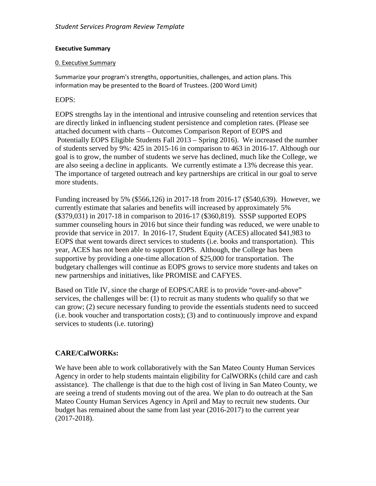#### **Executive Summary**

#### 0. Executive Summary

Summarize your program's strengths, opportunities, challenges, and action plans. This information may be presented to the Board of Trustees. (200 Word Limit)

#### EOPS:

EOPS strengths lay in the intentional and intrusive counseling and retention services that are directly linked in influencing student persistence and completion rates. (Please see attached document with charts – Outcomes Comparison Report of EOPS and Potentially EOPS Eligible Students Fall 2013 – Spring 2016). We increased the number of students served by 9%: 425 in 2015-16 in comparison to 463 in 2016-17. Although our goal is to grow, the number of students we serve has declined, much like the College, we are also seeing a decline in applicants. We currently estimate a 13% decrease this year. The importance of targeted outreach and key partnerships are critical in our goal to serve more students.

Funding increased by 5% (\$566,126) in 2017-18 from 2016-17 (\$540,639). However, we currently estimate that salaries and benefits will increased by approximately 5% (\$379,031) in 2017-18 in comparison to 2016-17 (\$360,819). SSSP supported EOPS summer counseling hours in 2016 but since their funding was reduced, we were unable to provide that service in 2017. In 2016-17, Student Equity (ACES) allocated \$41,983 to EOPS that went towards direct services to students (i.e. books and transportation). This year, ACES has not been able to support EOPS. Although, the College has been supportive by providing a one-time allocation of \$25,000 for transportation. The budgetary challenges will continue as EOPS grows to service more students and takes on new partnerships and initiatives, like PROMISE and CAFYES.

Based on Title IV, since the charge of EOPS/CARE is to provide "over-and-above" services, the challenges will be: (1) to recruit as many students who qualify so that we can grow; (2) secure necessary funding to provide the essentials students need to succeed (i.e. book voucher and transportation costs); (3) and to continuously improve and expand services to students (i.e. tutoring)

# **CARE/CalWORKs:**

We have been able to work collaboratively with the San Mateo County Human Services Agency in order to help students maintain eligibility for CalWORKs (child care and cash assistance). The challenge is that due to the high cost of living in San Mateo County, we are seeing a trend of students moving out of the area. We plan to do outreach at the San Mateo County Human Services Agency in April and May to recruit new students. Our budget has remained about the same from last year (2016-2017) to the current year (2017-2018).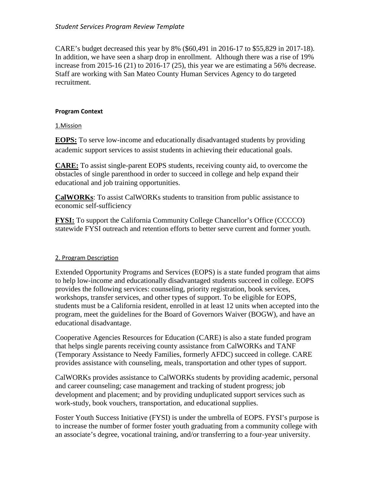CARE's budget decreased this year by 8% (\$60,491 in 2016-17 to \$55,829 in 2017-18). In addition, we have seen a sharp drop in enrollment. Although there was a rise of 19% increase from 2015-16 (21) to 2016-17 (25), this year we are estimating a 56% decrease. Staff are working with San Mateo County Human Services Agency to do targeted recruitment.

#### **Program Context**

#### 1.Mission

**EOPS:** To serve low-income and educationally disadvantaged students by providing academic support services to assist students in achieving their educational goals.

**CARE:** To assist single-parent EOPS students, receiving county aid, to overcome the obstacles of single parenthood in order to succeed in college and help expand their educational and job training opportunities.

**CalWORKs**: To assist CalWORKs students to transition from public assistance to economic self-sufficiency

**FYSI:** To support the California Community College Chancellor's Office (CCCCO) statewide FYSI outreach and retention efforts to better serve current and former youth.

#### 2. Program Description

Extended Opportunity Programs and Services (EOPS) is a state funded program that aims to help low-income and educationally disadvantaged students succeed in college. EOPS provides the following services: counseling, priority registration, book services, workshops, transfer services, and other types of support. To be eligible for EOPS, students must be a California resident, enrolled in at least 12 units when accepted into the program, meet the guidelines for the Board of Governors Waiver (BOGW), and have an educational disadvantage.

Cooperative Agencies Resources for Education (CARE) is also a state funded program that helps single parents receiving county assistance from CalWORKs and TANF (Temporary Assistance to Needy Families, formerly AFDC) succeed in college. CARE provides assistance with counseling, meals, transportation and other types of support.

CalWORKs provides assistance to CalWORKs students by providing academic, personal and career counseling; case management and tracking of student progress; job development and placement; and by providing unduplicated support services such as work-study, book vouchers, transportation, and educational supplies.

Foster Youth Success Initiative (FYSI) is under the umbrella of EOPS. FYSI's purpose is to increase the number of former foster youth graduating from a community college with an associate's degree, vocational training, and/or transferring to a four-year university.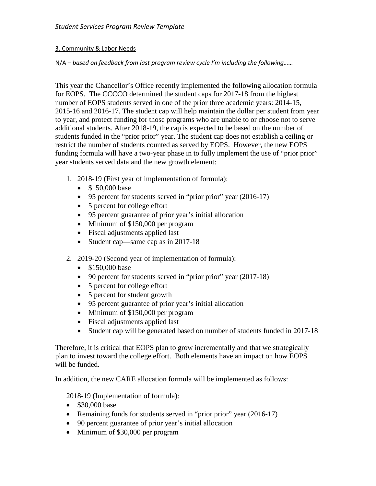#### 3. Community & Labor Needs

### N/A – *based on feedback from last program review cycle I'm including the following……*

This year the Chancellor's Office recently implemented the following allocation formula for EOPS. The CCCCO determined the student caps for 2017-18 from the highest number of EOPS students served in one of the prior three academic years: 2014-15, 2015-16 and 2016-17. The student cap will help maintain the dollar per student from year to year, and protect funding for those programs who are unable to or choose not to serve additional students. After 2018-19, the cap is expected to be based on the number of students funded in the "prior prior" year. The student cap does not establish a ceiling or restrict the number of students counted as served by EOPS. However, the new EOPS funding formula will have a two-year phase in to fully implement the use of "prior prior" year students served data and the new growth element:

- 1. 2018-19 (First year of implementation of formula):
	- \$150,000 base
	- 95 percent for students served in "prior prior" year (2016-17)
	- 5 percent for college effort
	- 95 percent guarantee of prior year's initial allocation
	- Minimum of \$150,000 per program
	- Fiscal adjustments applied last
	- Student cap—same cap as in 2017-18
- 2. 2019-20 (Second year of implementation of formula):
	- \$150,000 base
	- 90 percent for students served in "prior prior" year (2017-18)
	- 5 percent for college effort
	- 5 percent for student growth
	- 95 percent guarantee of prior year's initial allocation
	- Minimum of \$150,000 per program
	- Fiscal adjustments applied last
	- Student cap will be generated based on number of students funded in 2017-18

Therefore, it is critical that EOPS plan to grow incrementally and that we strategically plan to invest toward the college effort. Both elements have an impact on how EOPS will be funded.

In addition, the new CARE allocation formula will be implemented as follows:

2018-19 (Implementation of formula):

- \$30,000 base
- Remaining funds for students served in "prior prior" year (2016-17)
- 90 percent guarantee of prior year's initial allocation
- Minimum of \$30,000 per program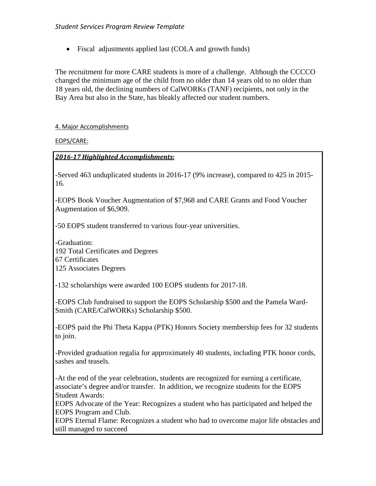• Fiscal adjustments applied last (COLA and growth funds)

The recruitment for more CARE students is more of a challenge. Although the CCCCO changed the minimum age of the child from no older than 14 years old to no older than 18 years old, the declining numbers of CalWORKs (TANF) recipients, not only in the Bay Area but also in the State, has bleakly affected our student numbers.

#### 4. Major Accomplishments

EOPS/CARE:

#### *2016-17 Highlighted Accomplishments:*

-Served 463 unduplicated students in 2016-17 (9% increase), compared to 425 in 2015- 16.

-EOPS Book Voucher Augmentation of \$7,968 and CARE Grants and Food Voucher Augmentation of \$6,909.

-50 EOPS student transferred to various four-year universities.

-Graduation: 192 Total Certificates and Degrees 67 Certificates 125 Associates Degrees

-132 scholarships were awarded 100 EOPS students for 2017-18.

-EOPS Club fundraised to support the EOPS Scholarship \$500 and the Pamela Ward-Smith (CARE/CalWORKs) Scholarship \$500.

-EOPS paid the Phi Theta Kappa (PTK) Honors Society membership fees for 32 students to join.

-Provided graduation regalia for approximately 40 students, including PTK honor cords, sashes and teasels.

-At the end of the year celebration, students are recognized for earning a certificate, associate's degree and/or transfer. In addition, we recognize students for the EOPS Student Awards:

EOPS Advocate of the Year: Recognizes a student who has participated and helped the EOPS Program and Club.

EOPS Eternal Flame: Recognizes a student who had to overcome major life obstacles and still managed to succeed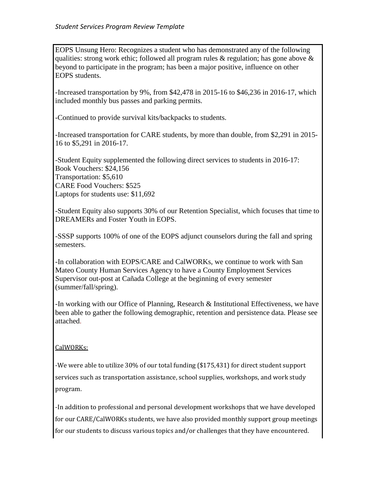EOPS Unsung Hero: Recognizes a student who has demonstrated any of the following qualities: strong work ethic; followed all program rules  $\&$  regulation; has gone above  $\&$ beyond to participate in the program; has been a major positive, influence on other EOPS students.

-Increased transportation by 9%, from \$42,478 in 2015-16 to \$46,236 in 2016-17, which included monthly bus passes and parking permits.

-Continued to provide survival kits/backpacks to students.

-Increased transportation for CARE students, by more than double, from \$2,291 in 2015- 16 to \$5,291 in 2016-17.

-Student Equity supplemented the following direct services to students in 2016-17: Book Vouchers: \$24,156 Transportation: \$5,610 CARE Food Vouchers: \$525 Laptops for students use: \$11,692

-Student Equity also supports 30% of our Retention Specialist, which focuses that time to DREAMERs and Foster Youth in EOPS.

-SSSP supports 100% of one of the EOPS adjunct counselors during the fall and spring semesters.

-In collaboration with EOPS/CARE and CalWORKs, we continue to work with San Mateo County Human Services Agency to have a County Employment Services Supervisor out-post at Cañada College at the beginning of every semester (summer/fall/spring).

-In working with our Office of Planning, Research & Institutional Effectiveness, we have been able to gather the following demographic, retention and persistence data. Please see attached.

### CalWORKs:

-We were able to utilize 30% of our total funding (\$175,431) for direct student support services such as transportation assistance, school supplies, workshops, and work study program.

-In addition to professional and personal development workshops that we have developed for our CARE/CalWORKs students, we have also provided monthly support group meetings for our students to discuss various topics and/or challenges that they have encountered.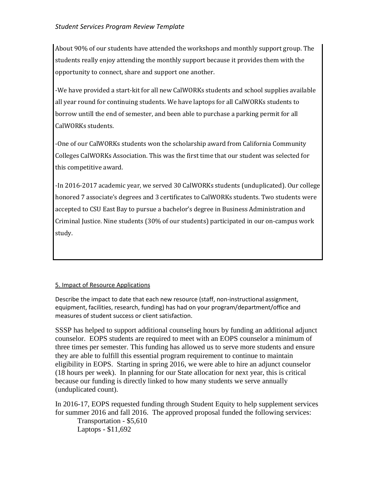About 90% of our students have attended the workshops and monthly support group. The students really enjoy attending the monthly support because it provides them with the opportunity to connect, share and support one another.

-We have provided a start-kit for all new CalWORKs students and school supplies available all year round for continuing students. We have laptops for all CalWORKs students to borrow untill the end of semester, and been able to purchase a parking permit for all CalWORKs students.

-One of our CalWORKs students won the scholarship award from California Community Colleges CalWORKs Association. This was the first time that our student was selected for this competitive award.

-In 2016-2017 academic year, we served 30 CalWORKs students (unduplicated). Our college honored 7 associate's degrees and 3 certificates to CalWORKs students. Two students were accepted to CSU East Bay to pursue a bachelor's degree in Business Administration and Criminal Justice. Nine students (30% of our students) participated in our on-campus work study.

### 5. Impact of Resource Applications

Describe the impact to date that each new resource (staff, non-instructional assignment, equipment, facilities, research, funding) has had on your program/department/office and measures of student success or client satisfaction.

SSSP has helped to support additional counseling hours by funding an additional adjunct counselor. EOPS students are required to meet with an EOPS counselor a minimum of three times per semester. This funding has allowed us to serve more students and ensure they are able to fulfill this essential program requirement to continue to maintain eligibility in EOPS. Starting in spring 2016, we were able to hire an adjunct counselor (18 hours per week). In planning for our State allocation for next year, this is critical because our funding is directly linked to how many students we serve annually (unduplicated count).

In 2016-17, EOPS requested funding through Student Equity to help supplement services for summer 2016 and fall 2016. The approved proposal funded the following services: Transportation - \$5,610 Laptops - \$11,692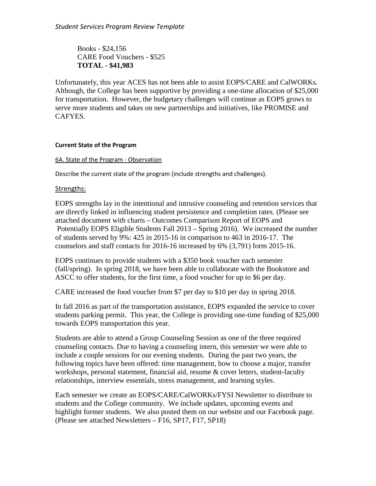Books - \$24,156 CARE Food Vouchers - \$525 **TOTAL - \$41,983**

Unfortunately, this year ACES has not been able to assist EOPS/CARE and CalWORKs. Although, the College has been supportive by providing a one-time allocation of \$25,000 for transportation. However, the budgetary challenges will continue as EOPS grows to serve more students and takes on new partnerships and initiatives, like PROMISE and CAFYES.

#### **Current State of the Program**

#### 6A. State of the Program - Observation

Describe the current state of the program (include strengths and challenges).

#### Strengths:

EOPS strengths lay in the intentional and intrusive counseling and retention services that are directly linked in influencing student persistence and completion rates. (Please see attached document with charts – Outcomes Comparison Report of EOPS and Potentially EOPS Eligible Students Fall 2013 – Spring 2016). We increased the number of students served by 9%: 425 in 2015-16 in comparison to 463 in 2016-17. The counselors and staff contacts for 2016-16 increased by 6% (3,791) form 2015-16.

EOPS continues to provide students with a \$350 book voucher each semester (fall/spring). In spring 2018, we have been able to collaborate with the Bookstore and ASCC to offer students, for the first time, a food voucher for up to \$6 per day.

CARE increased the food voucher from \$7 per day to \$10 per day in spring 2018.

In fall 2016 as part of the transportation assistance, EOPS expanded the service to cover students parking permit. This year, the College is providing one-time funding of \$25,000 towards EOPS transportation this year.

Students are able to attend a Group Counseling Session as one of the three required counseling contacts. Due to having a counseling intern, this semester we were able to include a couple sessions for our evening students. During the past two years, the following topics have been offered: time management, how to choose a major, transfer workshops, personal statement, financial aid, resume & cover letters, student-faculty relationships, interview essentials, stress management, and learning styles.

Each semester we create an EOPS/CARE/CalWORKs/FYSI Newsletter to distribute to students and the College community. We include updates, upcoming events and highlight former students. We also posted them on our website and our Facebook page. (Please see attached Newsletters – F16, SP17, F17, SP18)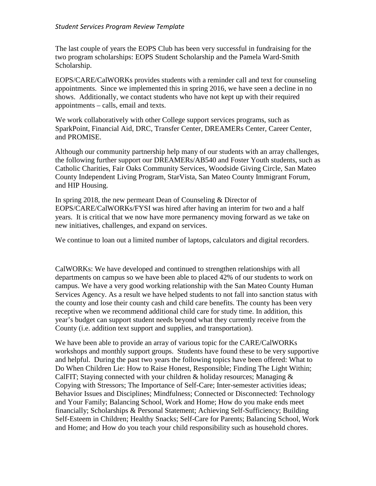The last couple of years the EOPS Club has been very successful in fundraising for the two program scholarships: EOPS Student Scholarship and the Pamela Ward-Smith Scholarship.

EOPS/CARE/CalWORKs provides students with a reminder call and text for counseling appointments. Since we implemented this in spring 2016, we have seen a decline in no shows. Additionally, we contact students who have not kept up with their required appointments – calls, email and texts.

We work collaboratively with other College support services programs, such as SparkPoint, Financial Aid, DRC, Transfer Center, DREAMERs Center, Career Center, and PROMISE.

Although our community partnership help many of our students with an array challenges, the following further support our DREAMERs/AB540 and Foster Youth students, such as Catholic Charities, Fair Oaks Community Services, Woodside Giving Circle, San Mateo County Independent Living Program, StarVista, San Mateo County Immigrant Forum, and HIP Housing.

In spring 2018, the new permeant Dean of Counseling & Director of EOPS/CARE/CalWORKs/FYSI was hired after having an interim for two and a half years. It is critical that we now have more permanency moving forward as we take on new initiatives, challenges, and expand on services.

We continue to loan out a limited number of laptops, calculators and digital recorders.

CalWORKs: We have developed and continued to strengthen relationships with all departments on campus so we have been able to placed 42% of our students to work on campus. We have a very good working relationship with the San Mateo County Human Services Agency. As a result we have helped students to not fall into sanction status with the county and lose their county cash and child care benefits. The county has been very receptive when we recommend additional child care for study time. In addition, this year's budget can support student needs beyond what they currently receive from the County (i.e. addition text support and supplies, and transportation).

We have been able to provide an array of various topic for the CARE/CalWORKs workshops and monthly support groups. Students have found these to be very supportive and helpful. During the past two years the following topics have been offered: What to Do When Children Lie: How to Raise Honest, Responsible; Finding The Light Within; CalFIT; Staying connected with your children & holiday resources; Managing  $\&$ Copying with Stressors; The Importance of Self-Care; Inter-semester activities ideas; Behavior Issues and Disciplines; Mindfulness; Connected or Disconnected: Technology and Your Family; Balancing School, Work and Home; How do you make ends meet financially; Scholarships & Personal Statement; Achieving Self-Sufficiency; Building Self-Esteem in Children; Healthy Snacks; Self-Care for Parents; Balancing School, Work and Home; and How do you teach your child responsibility such as household chores.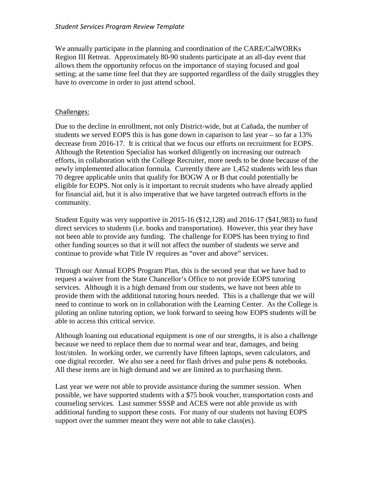We annually participate in the planning and coordination of the CARE/CalWORKs Region III Retreat. Approximately 80-90 students participate at an all-day event that allows them the opportunity refocus on the importance of staying focused and goal setting; at the same time feel that they are supported regardless of the daily struggles they have to overcome in order to just attend school.

#### Challenges:

Due to the decline in enrollment, not only District-wide, but at Cañada, the number of students we served EOPS this is has gone down in caparison to last year – so far a 13% decrease from 2016-17. It is critical that we focus our efforts on recruitment for EOPS. Although the Retention Specialist has worked diligently on increasing our outreach efforts, in collaboration with the College Recruiter, more needs to be done because of the newly implemented allocation formula. Currently there are 1,452 students with less than 70 degree applicable units that qualify for BOGW A or B that could potentially be eligible for EOPS. Not only is it important to recruit students who have already applied for financial aid, but it is also imperative that we have targeted outreach efforts in the community.

Student Equity was very supportive in 2015-16 (\$12,128) and 2016-17 (\$41,983) to fund direct services to students (i.e. books and transportation). However, this year they have not been able to provide any funding. The challenge for EOPS has been trying to find other funding sources so that it will not affect the number of students we serve and continue to provide what Title IV requires as "over and above" services.

Through our Annual EOPS Program Plan, this is the second year that we have had to request a waiver from the State Chancellor's Office to not provide EOPS tutoring services. Although it is a high demand from our students, we have not been able to provide them with the additional tutoring hours needed. This is a challenge that we will need to continue to work on in collaboration with the Learning Center. As the College is piloting an online tutoring option, we look forward to seeing how EOPS students will be able to access this critical service.

Although loaning out educational equipment is one of our strengths, it is also a challenge because we need to replace them due to normal wear and tear, damages, and being lost/stolen. In working order, we currently have fifteen laptops, seven calculators, and one digital recorder. We also see a need for flash drives and pulse pens & notebooks. All these items are in high demand and we are limited as to purchasing them.

Last year we were not able to provide assistance during the summer session. When possible, we have supported students with a \$75 book voucher, transportation costs and counseling services. Last summer SSSP and ACES were not able provide us with additional funding to support these costs. For many of our students not having EOPS support over the summer meant they were not able to take class(es).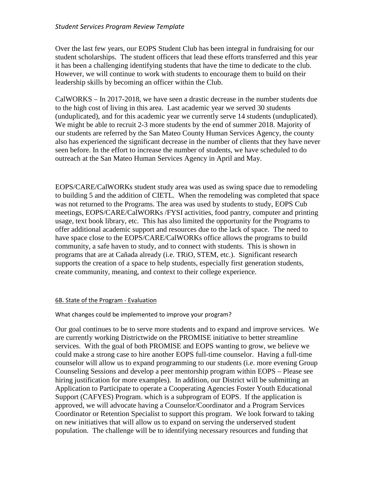Over the last few years, our EOPS Student Club has been integral in fundraising for our student scholarships. The student officers that lead these efforts transferred and this year it has been a challenging identifying students that have the time to dedicate to the club. However, we will continue to work with students to encourage them to build on their leadership skills by becoming an officer within the Club.

CalWORKS – In 2017-2018, we have seen a drastic decrease in the number students due to the high cost of living in this area. Last academic year we served 30 students (unduplicated), and for this academic year we currently serve 14 students (unduplicated). We might be able to recruit 2-3 more students by the end of summer 2018. Majority of our students are referred by the San Mateo County Human Services Agency, the county also has experienced the significant decrease in the number of clients that they have never seen before. In the effort to increase the number of students, we have scheduled to do outreach at the San Mateo Human Services Agency in April and May.

EOPS/CARE/CalWORKs student study area was used as swing space due to remodeling to building 5 and the addition of CIETL. When the remodeling was completed that space was not returned to the Programs. The area was used by students to study, EOPS Cub meetings, EOPS/CARE/CalWORKs /FYSI activities, food pantry, computer and printing usage, text book library, etc. This has also limited the opportunity for the Programs to offer additional academic support and resources due to the lack of space. The need to have space close to the EOPS/CARE/CalWORKs office allows the programs to build community, a safe haven to study, and to connect with students. This is shown in programs that are at Cañada already (i.e. TRiO, STEM, etc.). Significant research supports the creation of a space to help students, especially first generation students, create community, meaning, and context to their college experience.

#### 6B. State of the Program - Evaluation

#### What changes could be implemented to improve your program?

Our goal continues to be to serve more students and to expand and improve services. We are currently working Districtwide on the PROMISE initiative to better streamline services. With the goal of both PROMISE and EOPS wanting to grow, we believe we could make a strong case to hire another EOPS full-time counselor. Having a full-time counselor will allow us to expand programming to our students (i.e. more evening Group Counseling Sessions and develop a peer mentorship program within EOPS – Please see hiring justification for more examples). In addition, our District will be submitting an Application to Participate to operate a Cooperating Agencies Foster Youth Educational Support (CAFYES) Program. which is a subprogram of EOPS. If the application is approved, we will advocate having a Counselor/Coordinator and a Program Services Coordinator or Retention Specialist to support this program. We look forward to taking on new initiatives that will allow us to expand on serving the underserved student population. The challenge will be to identifying necessary resources and funding that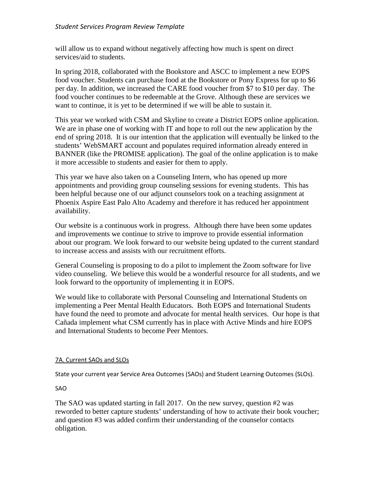will allow us to expand without negatively affecting how much is spent on direct services/aid to students.

In spring 2018, collaborated with the Bookstore and ASCC to implement a new EOPS food voucher. Students can purchase food at the Bookstore or Pony Express for up to \$6 per day. In addition, we increased the CARE food voucher from \$7 to \$10 per day. The food voucher continues to be redeemable at the Grove. Although these are services we want to continue, it is yet to be determined if we will be able to sustain it.

This year we worked with CSM and Skyline to create a District EOPS online application. We are in phase one of working with IT and hope to roll out the new application by the end of spring 2018. It is our intention that the application will eventually be linked to the students' WebSMART account and populates required information already entered in BANNER (like the PROMISE application). The goal of the online application is to make it more accessible to students and easier for them to apply.

This year we have also taken on a Counseling Intern, who has opened up more appointments and providing group counseling sessions for evening students. This has been helpful because one of our adjunct counselors took on a teaching assignment at Phoenix Aspire East Palo Alto Academy and therefore it has reduced her appointment availability.

Our website is a continuous work in progress. Although there have been some updates and improvements we continue to strive to improve to provide essential information about our program. We look forward to our website being updated to the current standard to increase access and assists with our recruitment efforts.

General Counseling is proposing to do a pilot to implement the Zoom software for live video counseling. We believe this would be a wonderful resource for all students, and we look forward to the opportunity of implementing it in EOPS.

We would like to collaborate with Personal Counseling and International Students on implementing a Peer Mental Health Educators. Both EOPS and International Students have found the need to promote and advocate for mental health services. Our hope is that Cañada implement what CSM currently has in place with Active Minds and hire EOPS and International Students to become Peer Mentors.

#### 7A. Current SAOs and SLOs

State your current year Service Area Outcomes (SAOs) and Student Learning Outcomes (SLOs).

SAO

The SAO was updated starting in fall 2017. On the new survey, question #2 was reworded to better capture students' understanding of how to activate their book voucher; and question #3 was added confirm their understanding of the counselor contacts obligation.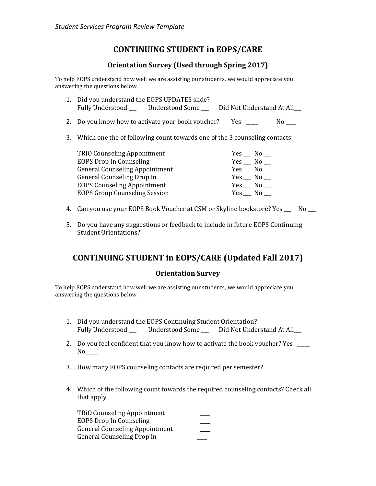# **CONTINUING STUDENT in EOPS/CARE**

## **Orientation Survey (Used through Spring 2017)**

To help EOPS understand how well we are assisting our students, we would appreciate you answering the questions below.

- 1. Did you understand the EOPS UPDATES slide?<br>Fully Understood \_\_\_\_\_\_\_\_Understood Some Did Not Understand At All
- 2. Do you know how to activate your book voucher? Yes \_\_\_\_\_ No \_\_\_
- 3. Which one the of following count towards one of the 3 counseling contacts:

| <b>TRiO Counseling Appointment</b>    | $Yes$ $No$ $\Box$       |
|---------------------------------------|-------------------------|
| <b>EOPS Drop In Counseling</b>        | $Yes$ No $\blacksquare$ |
| <b>General Counseling Appointment</b> | $Yes$ No $\blacksquare$ |
| General Counseling Drop In            | $Yes$ No $\blacksquare$ |
| <b>EOPS Counseling Appointment</b>    | $Yes$ $No$ $\Box$       |
| <b>EOPS Group Counseling Session</b>  | Yes No                  |

- 4. Can you use your EOPS Book Voucher at CSM or Skyline bookstore? Yes \_\_\_ No \_\_
- 5. Do you have any suggestions or feedback to include in future EOPS Continuing Student Orientations?

# **CONTINUING STUDENT in EOPS/CARE (Updated Fall 2017)**

### **Orientation Survey**

To help EOPS understand how well we are assisting our students, we would appreciate you answering the questions below.

- 1. Did you understand the EOPS Continuing Student Orientation?<br>Fully Understood Understood Some Did Not Understand At All Fully Understood \_\_\_ Understood Some \_\_
- 2. Do you feel confident that you know how to activate the book voucher? Yes \_\_\_\_\_ No<sub>1</sub>
- 3. How many EOPS counseling contacts are required per semester? \_\_\_\_\_\_\_
- 4. Which of the following count towards the required counseling contacts? Check all that apply

TRiO Counseling Appointment \_\_\_\_ EOPS Drop In Counseling **\_\_\_\_** General Counseling Appointment **\_\_\_\_** General Counseling Drop In **\_\_\_\_**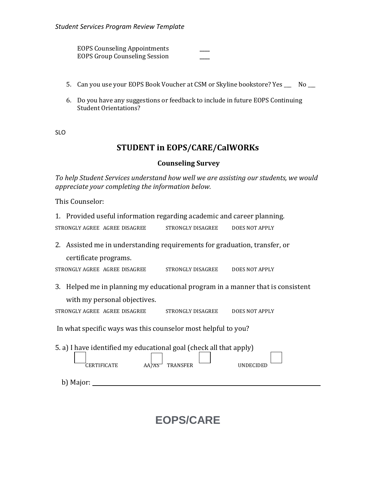EOPS Counseling Appointments **\_\_\_\_** EOPS Group Counseling Session **\_\_\_\_**

- 5. Can you use your EOPS Book Voucher at CSM or Skyline bookstore? Yes \_\_\_ No \_\_\_
- 6. Do you have any suggestions or feedback to include in future EOPS Continuing Student Orientations?

SLO

# **STUDENT in EOPS/CARE/CalWORKs**

#### **Counseling Survey**

*To help Student Services understand how well we are assisting our students, we would appreciate your completing the information below.* 

This Counselor:

1. Provided useful information regarding academic and career planning.

| STRONGLY AGREE AGREE DISAGREE | STRONGLY DISAGREE | DOES NOT APPLY |
|-------------------------------|-------------------|----------------|
|                               |                   |                |

2. Assisted me in understanding requirements for graduation, transfer, or

certificate programs.

STRONGLY AGREE AGREE DISAGREE STRONGLY DISAGREE DOES NOT APPLY

3. Helped me in planning my educational program in a manner that is consistent with my personal objectives.

| STRONGLY AGREE AGREE DISAGREE | STRONGLY DISAGREE | <b>DOES NOT APPLY</b> |
|-------------------------------|-------------------|-----------------------|

In what specific ways was this counselor most helpful to you?

| 5. a) I have identified my educational goal (check all that apply) |                          |           |  |  |  |  |  |  |
|--------------------------------------------------------------------|--------------------------|-----------|--|--|--|--|--|--|
| <b>CERTIFICATE</b>                                                 | <b>TRANSFER</b><br>AA7AS | UNDECIDED |  |  |  |  |  |  |
| b) Major:                                                          |                          |           |  |  |  |  |  |  |

# **EOPS/CARE**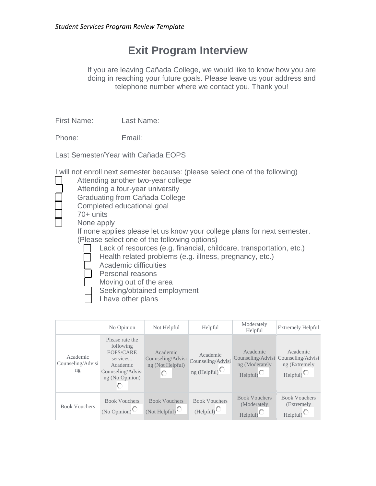# **Exit Program Interview**

If you are leaving Cañada College, we would like to know how you are doing in reaching your future goals. Please leave us your address and telephone number where we contact you. Thank you!

First Name: Last Name:

Phone: Email:

Last Semester/Year with Cañada EOPS

I will not enroll next semester because: (please select one of the following)

- Attending another two-year college
- Attending a four-year university

Graduating from Cañada College

- Completed educational goal
- 70+ units

None apply

If none applies please let us know your college plans for next semester. (Please select one of the following options)

Lack of resources (e.g. financial, childcare, transportation, etc.)

Health related problems (e.g. illness, pregnancy, etc.)

Academic difficulties

Personal reasons

Moving out of the area

Seeking/obtained employment

I have other plans

|                                     | No Opinion                                                                                                  | Not Helpful                                                            | Helpful                                                  | Moderately<br>Helpful                                   | <b>Extremely Helpful</b>                                                                   |
|-------------------------------------|-------------------------------------------------------------------------------------------------------------|------------------------------------------------------------------------|----------------------------------------------------------|---------------------------------------------------------|--------------------------------------------------------------------------------------------|
| Academic<br>Counseling/Advisi<br>ng | Please rate the<br>following<br>EOPS/CARE<br>services::<br>Academic<br>Counseling/Advisi<br>ng (No Opinion) | Academic<br>Counseling/Advisi<br>ng (Not Helpful)<br>O                 | Academic<br>Counseling/Advisi<br>ng (Helpful) $^{\circ}$ | Academic<br>ng (Moderately<br>Helpful)                  | Academic<br>Counseling/Advisi Counseling/Advisi<br>ng (Extremely<br>$Helpful$ <sup>O</sup> |
| <b>Book Vouchers</b>                | <b>Book Vouchers</b><br>(No Opinion) <sup><math>\bigcirc</math></sup>                                       | <b>Book Vouchers</b><br>(Not Helpful) <sup><math>\bigcirc</math></sup> | <b>Book Vouchers</b><br>(Helpful)                        | <b>Book Vouchers</b><br>(Moderately<br>$\text{Helpful}$ | <b>Book Vouchers</b><br>(Extremely)<br>Helpful                                             |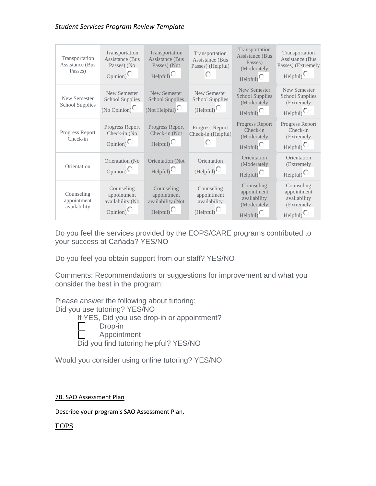| Transportation<br>Assistance (Bus<br>Passes) | Transportation<br>Assistance (Bus<br>Passes) (No<br>$_{\rm Opinion}$          | Transportation<br><b>Assistance</b> (Bus<br>Passes) (Not<br>$HeIpful$ <sup>O</sup> | Transportation<br><b>Assistance</b> (Bus<br>Passes) (Helpful) | Transportation<br><b>Assistance</b> (Bus<br>Passes)<br>(Moderately<br>$HeIpful)$ <sup>O</sup> | Transportation<br>Assistance (Bus<br>Passes) (Extremely<br>$HeIpful$ <sup>O</sup> |
|----------------------------------------------|-------------------------------------------------------------------------------|------------------------------------------------------------------------------------|---------------------------------------------------------------|-----------------------------------------------------------------------------------------------|-----------------------------------------------------------------------------------|
| New Semester<br><b>School Supplies</b>       | <b>New Semester</b><br><b>School Supplies</b><br>(No Opinion) $\bigcirc$      | <b>New Semester</b><br><b>School Supplies</b><br>(Not Helpful) $\bigcirc$          | New Semester<br><b>School Supplies</b><br>(Helpful)           | New Semester<br><b>School Supplies</b><br>(Moderately<br>$Helpful)$ <sup>O</sup>              | <b>New Semester</b><br><b>School Supplies</b><br>(Extremely<br>Helpful            |
| Progress Report<br>Check-in                  | Progress Report<br>Check-in (No<br>$Opinion$ <sup><math>\bigcirc</math></sup> | Progress Report<br>Check-in (Not<br>$HeIpful)$ <sup>O</sup>                        | Progress Report<br>Check-in (Helpful)                         | Progress Report<br>Check-in<br>(Moderately<br>$Helpful)$ <sup>O</sup>                         | Progress Report<br>Check-in<br>(Extremely<br>$HeIpful$ <sup>O</sup>               |
| Orientation                                  | Orientation (No<br>$Opinion$ <sup><math>\bigcirc</math></sup>                 | Orientation (Not<br>$Helpful)$ <sup><math>\bigcirc</math></sup>                    | Orientation<br>(Helpful)                                      | Orientation<br>(Moderately<br>$HeIpful$ <sup>O</sup>                                          | Orientation<br>(Extremely<br>$HeIpful$ <sup>O</sup>                               |
| Counseling<br>appointment<br>availability    | Counseling<br>appointment<br>availability (No<br>$_{\rm Opinion}$             | Counseling<br>appointment<br>availability (Not<br>$HeIpful$ <sup>O</sup>           | Counseling<br>appointment<br>availability<br>(Helpful)        | Counseling<br>appointment<br>availability<br>(Moderately<br>Helpful)                          | Counseling<br>appointment<br>availability<br>(Extremely<br>$HeIpful$ <sup>O</sup> |

Do you feel the services provided by the EOPS/CARE programs contributed to your success at Cañada? YES/NO

Do you feel you obtain support from our staff? YES/NO

Comments: Recommendations or suggestions for improvement and what you consider the best in the program:

Please answer the following about tutoring: Did you use tutoring? YES/NO

If YES, Did you use drop-in or appointment?

- Drop-in
	- Appointment

Did you find tutoring helpful? YES/NO

Would you consider using online tutoring? YES/NO

#### 7B. SAO Assessment Plan

Describe your program's SAO Assessment Plan.

### EOPS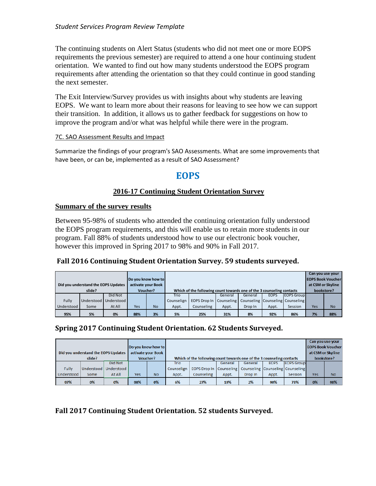The continuing students on Alert Status (students who did not meet one or more EOPS requirements the previous semester) are required to attend a one hour continuing student orientation. We wanted to find out how many students understood the EOPS program requirements after attending the orientation so that they could continue in good standing the next semester.

The Exit Interview/Survey provides us with insights about why students are leaving EOPS. We want to learn more about their reasons for leaving to see how we can support their transition. In addition, it allows us to gather feedback for suggestions on how to improve the program and/or what was helpful while there were in the program.

#### 7C. SAO Assessment Results and Impact

Summarize the findings of your program's SAO Assessments. What are some improvements that have been, or can be, implemented as a result of SAO Assessment?

# **EOPS**

#### **[2016-17 Continuing Student Orientation Survey](javascript:DownloadFileFromID()**

#### **Summary of the survey results**

Between 95-98% of students who attended the continuing orientation fully understood the EOPS program requirements, and this will enable us to retain more students in our program. Fall 88% of students understood how to use our electronic book voucher, however this improved in Spring 2017 to 98% and 90% in Fall 2017.

#### **Fall 2016 Continuing Student Orientation Survey. 59 students surveyed.**

|                                                           |                    |            |     |           |                                                                       |                                                                 |                          |         |             | Can you use your   |                   |           |
|-----------------------------------------------------------|--------------------|------------|-----|-----------|-----------------------------------------------------------------------|-----------------------------------------------------------------|--------------------------|---------|-------------|--------------------|-------------------|-----------|
|                                                           | Do you know how to |            |     |           |                                                                       |                                                                 | <b>EOPS Book Voucher</b> |         |             |                    |                   |           |
| Did you understand the EOPS Updates<br>activate your Book |                    |            |     |           |                                                                       |                                                                 |                          |         |             |                    | at CSM or Skyline |           |
| Voucher?<br>slide?                                        |                    |            |     |           | Which of the following count towards one of the 3 counseling contacts |                                                                 |                          |         |             |                    | bookstore?        |           |
|                                                           |                    | Did Not    |     |           | Trio                                                                  |                                                                 | General                  | General | <b>EOPS</b> | <b>IEOPS Group</b> |                   |           |
| Fully                                                     | Understood         | Understood |     |           | Counselign                                                            | <b>EOPS Drop In Counseling Counseling Counseling Counseling</b> |                          |         |             |                    |                   |           |
| Understood                                                | Some               | At All     | Yes | <b>No</b> | Appt.                                                                 | Counseling                                                      | Appt.                    | Drop In | Appt.       | Session            | Yes               | <b>No</b> |
| 95%                                                       | 5%                 | 0%         | 88% | 3%        | 5%                                                                    | 25%                                                             | 31%                      | 8%      | 92%         | 86%                | 7%                | 88%       |

### **Spring 2017 Continuing Student Orientation. 62 Students Surveyed.**

|                                                           |      |                         |                    |           |            |                                                                       |         |                                  |             | Can you use your  |                          |           |  |
|-----------------------------------------------------------|------|-------------------------|--------------------|-----------|------------|-----------------------------------------------------------------------|---------|----------------------------------|-------------|-------------------|--------------------------|-----------|--|
|                                                           |      |                         | Do you know how to |           |            |                                                                       |         |                                  |             |                   | <b>EOPS Book Voucher</b> |           |  |
| Did you understand the EOPS Updates<br>activate your Book |      |                         |                    |           |            |                                                                       |         |                                  |             |                   | at CSM or Skyline        |           |  |
| Voucher?<br>slide?                                        |      |                         |                    |           |            | Which of the following count towards one of the 3 counseling contacts |         |                                  |             |                   | bookstore?               |           |  |
|                                                           |      | Did Not                 |                    |           | Trio       |                                                                       | General | General                          | <b>EOPS</b> | <b>EOPS</b> Group |                          |           |  |
| Fully                                                     |      | Understood   Understood |                    |           | Counselign | EOPS Drop In Counseling                                               |         | Counseling Counseling Counseling |             |                   |                          |           |  |
| Understood                                                | Some | At All                  | Yes                | <b>No</b> | Appt.      | Counseling                                                            | Appt.   | Drop In                          | Appt.       | Session           | <b>Yes</b>               | <b>No</b> |  |
| 97%                                                       | 0%   | 0%                      | 98%                | 0%        | 6%         | 27%                                                                   | 19%     | 2%                               | 90%         | 73%               | 0%                       | 98%       |  |

**Fall 2017 Continuing Student Orientation. 52 students Surveyed.**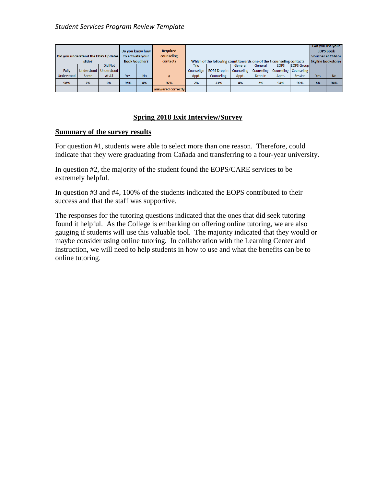| Did you understand the EOPS Updates<br>slide? |      | Do you know how<br>to activate your<br><b>Book Voucher?</b> |     | <b>Required</b><br>counseling<br>contacts |                    | Which of the following count towards one of the 3 counseling contacts |                     |            |            |             | Voucher at CSM or<br><b>Skyline bookstore?</b> | Can you use your<br><b>EOPS Book</b> |           |
|-----------------------------------------------|------|-------------------------------------------------------------|-----|-------------------------------------------|--------------------|-----------------------------------------------------------------------|---------------------|------------|------------|-------------|------------------------------------------------|--------------------------------------|-----------|
|                                               |      | Did Not                                                     |     |                                           |                    | Trio                                                                  |                     | General    | General    | <b>EOPS</b> | <b>IEOPS Group</b>                             |                                      |           |
| <b>Fully</b>                                  |      | Understood   Understood                                     |     |                                           |                    | Counselign                                                            | <b>EOPS Drop In</b> | Counseling | Counseling |             | Counseling   Counseling                        |                                      |           |
| Understood                                    | Some | At All                                                      | Yes | <b>No</b>                                 |                    | Appt.                                                                 | Counseling          | Appt.      | Drop In    | Appt.       | Session                                        | Yes                                  | <b>No</b> |
| 98%                                           | 2%   | 0%                                                          | 96% | 4%                                        | 97%                | 2%                                                                    | 23%                 | 4%         | 2%         | 94%         | 90%                                            | 6%                                   | 94%       |
|                                               |      |                                                             |     |                                           | answered correctly |                                                                       |                     |            |            |             |                                                |                                      |           |

### **Spring 2018 [Exit Interview/Survey](javascript:DownloadFileFromID()**

#### **Summary of the survey results**

For question #1, students were able to select more than one reason. Therefore, could indicate that they were graduating from Cañada and transferring to a four-year university.

In question #2, the majority of the student found the EOPS/CARE services to be extremely helpful.

In question #3 and #4, 100% of the students indicated the EOPS contributed to their success and that the staff was supportive.

The responses for the tutoring questions indicated that the ones that did seek tutoring found it helpful. As the College is embarking on offering online tutoring, we are also gauging if students will use this valuable tool. The majority indicated that they would or maybe consider using online tutoring. In collaboration with the Learning Center and instruction, we will need to help students in how to use and what the benefits can be to online tutoring.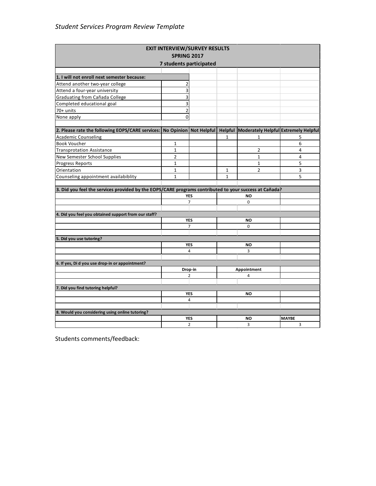| <b>EXIT INTERVIEW/SURVEY RESULTS</b>                                                                                         |                         |                |              |                |                |  |  |
|------------------------------------------------------------------------------------------------------------------------------|-------------------------|----------------|--------------|----------------|----------------|--|--|
|                                                                                                                              | <b>SPRING 2017</b>      |                |              |                |                |  |  |
|                                                                                                                              | 7 students participated |                |              |                |                |  |  |
|                                                                                                                              |                         |                |              |                |                |  |  |
| 1. I will not enroll next semester because:                                                                                  |                         |                |              |                |                |  |  |
| Attend another two-year college                                                                                              | $\overline{2}$          |                |              |                |                |  |  |
| Attend a four-year university                                                                                                | 3                       |                |              |                |                |  |  |
| Graduating from Cañada College                                                                                               | 3                       |                |              |                |                |  |  |
| Completed educational goal                                                                                                   | 3                       |                |              |                |                |  |  |
| 70+ units                                                                                                                    | $\overline{2}$          |                |              |                |                |  |  |
| None apply                                                                                                                   | $\mathbf 0$             |                |              |                |                |  |  |
| 2. Please rate the following EOPS/CARE services:   No Opinion   Not Helpful   Helpful   Moderately Helpful Extremely Helpful |                         |                |              |                |                |  |  |
| <b>Academic Counseling</b>                                                                                                   |                         |                | $\mathbf{1}$ | $\mathbf{1}$   | 5              |  |  |
| <b>Book Voucher</b>                                                                                                          | 1                       |                |              |                | 6              |  |  |
| <b>Transprotation Assistance</b>                                                                                             | $\mathbf{1}$            |                |              | $\overline{2}$ | $\overline{4}$ |  |  |
| New Semester School Supplies                                                                                                 | $\overline{2}$          |                |              | $\mathbf{1}$   | 4              |  |  |
| <b>Progress Reports</b>                                                                                                      | $\mathbf{1}$            |                |              | $\mathbf{1}$   | 5              |  |  |
| Orientation                                                                                                                  | $\mathbf{1}$            |                | 1            | $\overline{2}$ | 3              |  |  |
| Counseling appointment availabiblity                                                                                         | $\mathbf{1}$            |                | $\mathbf{1}$ |                | 5              |  |  |
|                                                                                                                              |                         |                |              |                |                |  |  |
| 3. Did you feel the services provided by the EOPS/CARE programs contributed to your success at Cañada?                       |                         |                |              |                |                |  |  |
|                                                                                                                              |                         | <b>YES</b>     |              | NO             |                |  |  |
|                                                                                                                              |                         | $\overline{7}$ |              | $\Omega$       |                |  |  |
|                                                                                                                              |                         |                |              |                |                |  |  |
| 4. Did you feel you obtained support from our staff?                                                                         |                         | <b>YES</b>     |              | <b>NO</b>      |                |  |  |
|                                                                                                                              |                         | $\overline{7}$ |              | $\mathbf 0$    |                |  |  |
|                                                                                                                              |                         |                |              |                |                |  |  |
| 5. Did you use tutoring?                                                                                                     |                         |                |              |                |                |  |  |
|                                                                                                                              |                         | <b>YES</b>     |              | NO             |                |  |  |
|                                                                                                                              |                         | 4              |              | 3              |                |  |  |
|                                                                                                                              |                         |                |              |                |                |  |  |
| 6. If yes, Di d you use drop-in or appointment?                                                                              |                         |                |              |                |                |  |  |
|                                                                                                                              |                         | Drop-in        |              | Appointment    |                |  |  |
|                                                                                                                              |                         | 2              |              | 4              |                |  |  |
|                                                                                                                              |                         |                |              |                |                |  |  |
| 7. Did you find tutoring helpful?                                                                                            |                         |                |              |                |                |  |  |
|                                                                                                                              |                         | <b>YES</b>     |              | <b>NO</b>      |                |  |  |
|                                                                                                                              |                         | 4              |              |                |                |  |  |
|                                                                                                                              |                         |                |              |                |                |  |  |
| 8. Would you considering using online tutoring?                                                                              |                         | <b>YES</b>     |              | NO             | <b>MAYBE</b>   |  |  |
|                                                                                                                              |                         | $\overline{2}$ |              | 3              | 3              |  |  |
|                                                                                                                              |                         |                |              |                |                |  |  |

Students comments/feedback: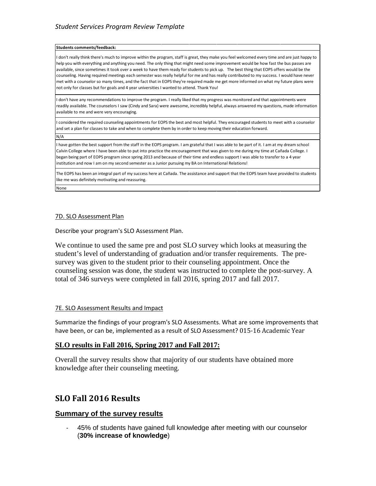#### **Students comments/feedback:**

I don't really think there's much to improve within the program, staff is great, they make you feel welcomed every time and are just happy to help you with everything and anything you need. The only thing that might need some improvement would be how fast the bus passes are available, since sometimes it took over a week to have them ready for students to pick up. The best thing that EOPS offers would be the counseling. Having required meetings each semester was really helpful for me and has really contributed to my success. I would have never met with a counselor so many times, and the fact that in EOPS they're required made me get more informed on what my future plans were not only for classes but for goals and 4 year universities I wanted to attend. Thank You!

I don't have any recommendations to improve the program. I really liked that my progress was monitored and that appointments were readily available. The counselors I saw (Cindy and Sara) were awesome, incredibly helpful, always answered my questions, made information available to me and were very encouraging.

I considered the required counseling appointments for EOPS the best and most helpful. They encouraged students to meet with a counselor and set a plan for classes to take and when to complete them by in order to keep moving their education forward.

N/A

I have gotten the best support from the staff in the EOPS program. I am grateful that I was able to be part of it. I am at my dream school Calvin College where I have been able to put into practice the encouragement that was given to me during my time at Cañada College. I began being part of EOPS program since spring 2013 and because of their time and endless support I was able to transfer to a 4 year institution and now I am on my second semester as a Junior pursuing my BA on International Relations!

The EOPS has been an integral part of my success here at Cañada. The assistance and support that the EOPS team have provided to students like me was definitely motivating and reassuring.

None

#### 7D. SLO Assessment Plan

Describe your program's SLO Assessment Plan.

We continue to used the same pre and post SLO survey which looks at measuring the student's level of understanding of graduation and/or transfer requirements. The presurvey was given to the student prior to their counseling appointment. Once the counseling session was done, the student was instructed to complete the post-survey. A total of 346 surveys were completed in fall 2016, spring 2017 and fall 2017.

#### 7E. SLO Assessment Results and Impact

Summarize the findings of your program's SLO Assessments. What are some improvements that have been, or can be, implemented as a result of SLO Assessment? 015-16 Academic Year

#### **SLO results in Fall 2016, Spring 2017 and Fall 2017:**

Overall the survey results show that majority of our students have obtained more knowledge after their counseling meeting.

# **SLO Fall 2016 Results**

#### **Summary of the survey results**

- 45% of students have gained full knowledge after meeting with our counselor (**30% increase of knowledge**)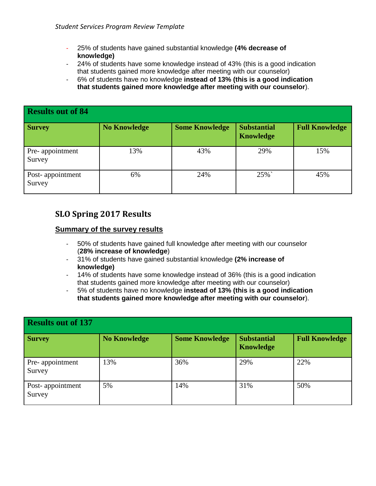- 25% of students have gained substantial knowledge **(4% decrease of knowledge)**
- 24% of students have some knowledge instead of 43% (this is a good indication that students gained more knowledge after meeting with our counselor)
- 6% of students have no knowledge **instead of 13% (this is a good indication that students gained more knowledge after meeting with our counselor**).

| <b>Results out of 84</b>   |                     |                       |                                        |                       |  |  |  |  |  |  |
|----------------------------|---------------------|-----------------------|----------------------------------------|-----------------------|--|--|--|--|--|--|
| <b>Survey</b>              | <b>No Knowledge</b> | <b>Some Knowledge</b> | <b>Substantial</b><br><b>Knowledge</b> | <b>Full Knowledge</b> |  |  |  |  |  |  |
| Pre-appointment<br>Survey  | 13%                 | 43%                   | 29%                                    | 15%                   |  |  |  |  |  |  |
| Post-appointment<br>Survey | 6%                  | 24%                   | $25\%$                                 | 45%                   |  |  |  |  |  |  |

# **SLO Spring 2017 Results**

#### **Summary of the survey results**

- 50% of students have gained full knowledge after meeting with our counselor (**28% increase of knowledge**)
- 31% of students have gained substantial knowledge **(2% increase of knowledge)**
- 14% of students have some knowledge instead of 36% (this is a good indication that students gained more knowledge after meeting with our counselor)
- 5% of students have no knowledge **instead of 13% (this is a good indication that students gained more knowledge after meeting with our counselor**).

| <b>Results out of 137</b>  |                     |                       |                                        |                       |  |  |  |  |  |
|----------------------------|---------------------|-----------------------|----------------------------------------|-----------------------|--|--|--|--|--|
| <b>Survey</b>              | <b>No Knowledge</b> | <b>Some Knowledge</b> | <b>Substantial</b><br><b>Knowledge</b> | <b>Full Knowledge</b> |  |  |  |  |  |
| Pre-appointment<br>Survey  | 13%                 | 36%                   | 29%                                    | 22%                   |  |  |  |  |  |
| Post-appointment<br>Survey | 5%                  | 14%                   | 31%                                    | 50%                   |  |  |  |  |  |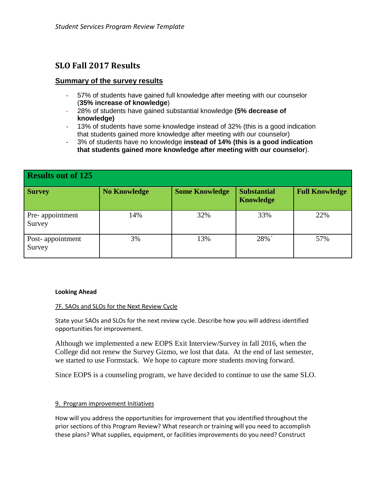# **SLO Fall 2017 Results**

## **Summary of the survey results**

- 57% of students have gained full knowledge after meeting with our counselor (**35% increase of knowledge**)
- 28% of students have gained substantial knowledge **(5% decrease of knowledge)**
- 13% of students have some knowledge instead of 32% (this is a good indication that students gained more knowledge after meeting with our counselor)
- 3% of students have no knowledge **instead of 14% (this is a good indication that students gained more knowledge after meeting with our counselor**).

| Results out of 125         |                     |                       |                                        |                       |  |  |  |  |
|----------------------------|---------------------|-----------------------|----------------------------------------|-----------------------|--|--|--|--|
| <b>Survey</b>              | <b>No Knowledge</b> | <b>Some Knowledge</b> | <b>Substantial</b><br><b>Knowledge</b> | <b>Full Knowledge</b> |  |  |  |  |
| Pre-appointment<br>Survey  | 14%                 | 32%                   | 33%                                    | 22%                   |  |  |  |  |
| Post-appointment<br>Survey | 3%                  | 13%                   | 28%`                                   | 57%                   |  |  |  |  |

#### **Looking Ahead**

#### 7F. SAOs and SLOs for the Next Review Cycle

State your SAOs and SLOs for the next review cycle. Describe how you will address identified opportunities for improvement.

Although we implemented a new EOPS Exit Interview/Survey in fall 2016, when the College did not renew the Survey Gizmo, we lost that data. At the end of last semester, we started to use Formstack. We hope to capture more students moving forward.

Since EOPS is a counseling program, we have decided to continue to use the same SLO.

#### 9. Program improvement Initiatives

How will you address the opportunities for improvement that you identified throughout the prior sections of this Program Review? What research or training will you need to accomplish these plans? What supplies, equipment, or facilities improvements do you need? Construct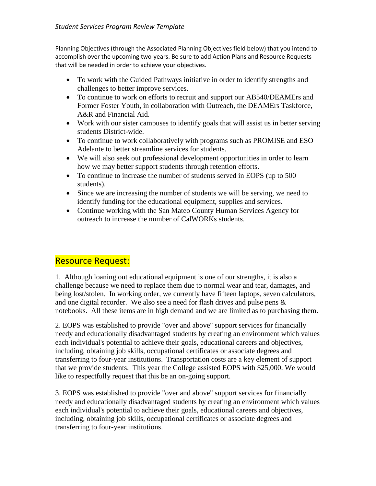Planning Objectives (through the Associated Planning Objectives field below) that you intend to accomplish over the upcoming two-years. Be sure to add Action Plans and Resource Requests that will be needed in order to achieve your objectives.

- To work with the Guided Pathways initiative in order to identify strengths and challenges to better improve services.
- To continue to work on efforts to recruit and support our AB540/DEAMErs and Former Foster Youth, in collaboration with Outreach, the DEAMErs Taskforce, A&R and Financial Aid.
- Work with our sister campuses to identify goals that will assist us in better serving students District-wide.
- To continue to work collaboratively with programs such as PROMISE and ESO Adelante to better streamline services for students.
- We will also seek out professional development opportunities in order to learn how we may better support students through retention efforts.
- To continue to increase the number of students served in EOPS (up to 500) students).
- Since we are increasing the number of students we will be serving, we need to identify funding for the educational equipment, supplies and services.
- Continue working with the San Mateo County Human Services Agency for outreach to increase the number of CalWORKs students.

# Resource Request:

1. Although loaning out educational equipment is one of our strengths, it is also a challenge because we need to replace them due to normal wear and tear, damages, and being lost/stolen. In working order, we currently have fifteen laptops, seven calculators, and one digital recorder. We also see a need for flash drives and pulse pens & notebooks. All these items are in high demand and we are limited as to purchasing them.

2. EOPS was established to provide "over and above" support services for financially needy and educationally disadvantaged students by creating an environment which values each individual's potential to achieve their goals, educational careers and objectives, including, obtaining job skills, occupational certificates or associate degrees and transferring to four-year institutions. Transportation costs are a key element of support that we provide students. This year the College assisted EOPS with \$25,000. We would like to respectfully request that this be an on-going support.

3. EOPS was established to provide "over and above" support services for financially needy and educationally disadvantaged students by creating an environment which values each individual's potential to achieve their goals, educational careers and objectives, including, obtaining job skills, occupational certificates or associate degrees and transferring to four-year institutions.